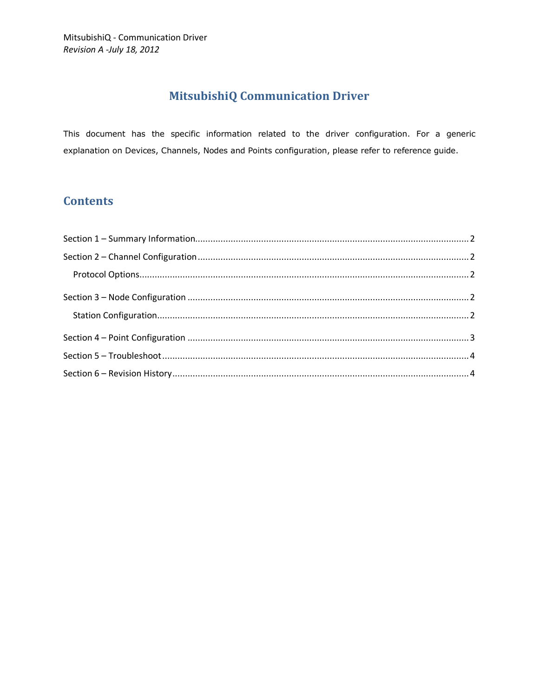# **MitsubishiQ Communication Driver**

This document has the specific information related to the driver configuration. For a generic explanation on Devices, Channels, Nodes and Points configuration, please refer to reference guide.

# **Contents**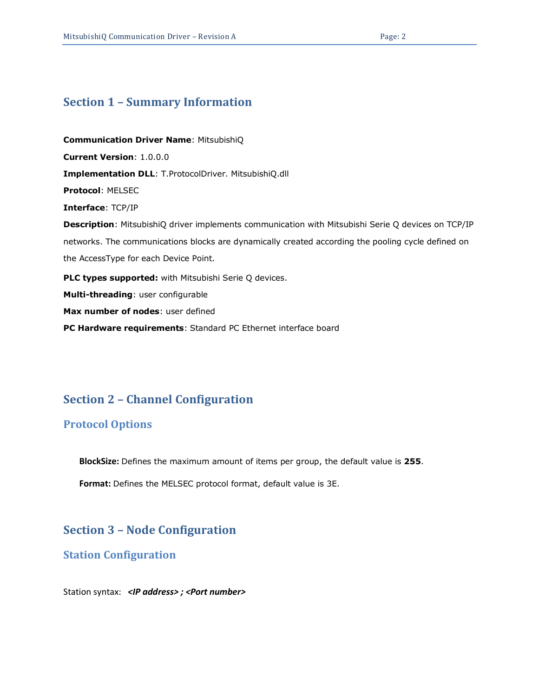## <span id="page-1-0"></span>**Section 1 – Summary Information**

**Communication Driver Name**: MitsubishiQ **Current Version**: 1.0.0.0 **Implementation DLL**: T.ProtocolDriver. MitsubishiQ.dll **Protocol**: MELSEC **Interface**: TCP/IP **Description**: MitsubishiQ driver implements communication with Mitsubishi Serie Q devices on TCP/IP networks. The communications blocks are dynamically created according the pooling cycle defined on the AccessType for each Device Point. **PLC types supported:** with Mitsubishi Serie Q devices. **Multi-threading**: user configurable **Max number of nodes**: user defined **PC Hardware requirements**: Standard PC Ethernet interface board

## <span id="page-1-1"></span>**Section 2 – Channel Configuration**

#### <span id="page-1-2"></span>**Protocol Options**

**BlockSize:** Defines the maximum amount of items per group, the default value is **255**.

**Format:** Defines the MELSEC protocol format, default value is 3E.

## <span id="page-1-3"></span>**Section 3 – Node Configuration**

#### <span id="page-1-4"></span>**Station Configuration**

Station syntax: *<IP address> ; <Port number>*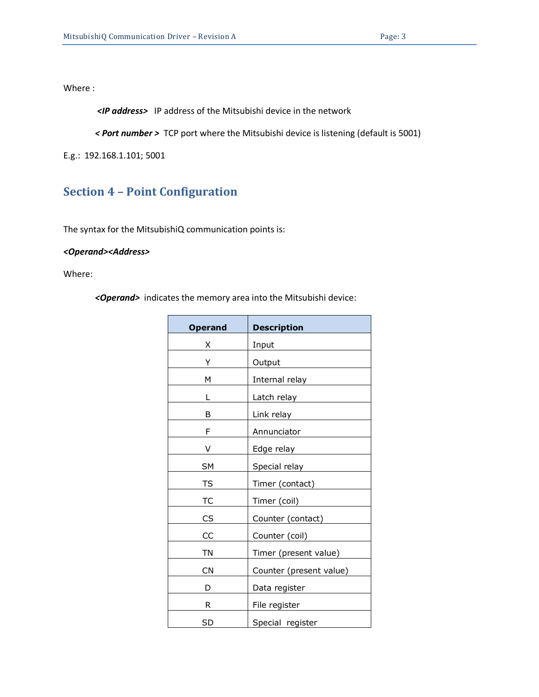Where :

*<IP address>* IP address of the Mitsubishi device in the network

*< Port number >* TCP port where the Mitsubishi device is listening (default is 5001)

E.g.: 192.168.1.101; 5001

# <span id="page-2-0"></span>**Section 4 – Point Configuration**

The syntax for the MitsubishiQ communication points is:

r.

#### *<Operand><Address>*

Where:

*<Operand>* indicates the memory area into the Mitsubishi device:

| <b>Operand</b> | <b>Description</b>      |  |
|----------------|-------------------------|--|
| X              | Input                   |  |
| Y              | Output                  |  |
| м              | Internal relay          |  |
| L              | Latch relay             |  |
| B              | Link relay              |  |
| F              | Annunciator             |  |
| V              | Edge relay              |  |
| <b>SM</b>      | Special relay           |  |
| TS             | Timer (contact)         |  |
| ТC             | Timer (coil)            |  |
| CS             | Counter (contact)       |  |
| CC             | Counter (coil)          |  |
| ΤN             | Timer (present value)   |  |
| CN             | Counter (present value) |  |
| D              | Data register           |  |
| R              | File register           |  |
| SD             | Special register        |  |